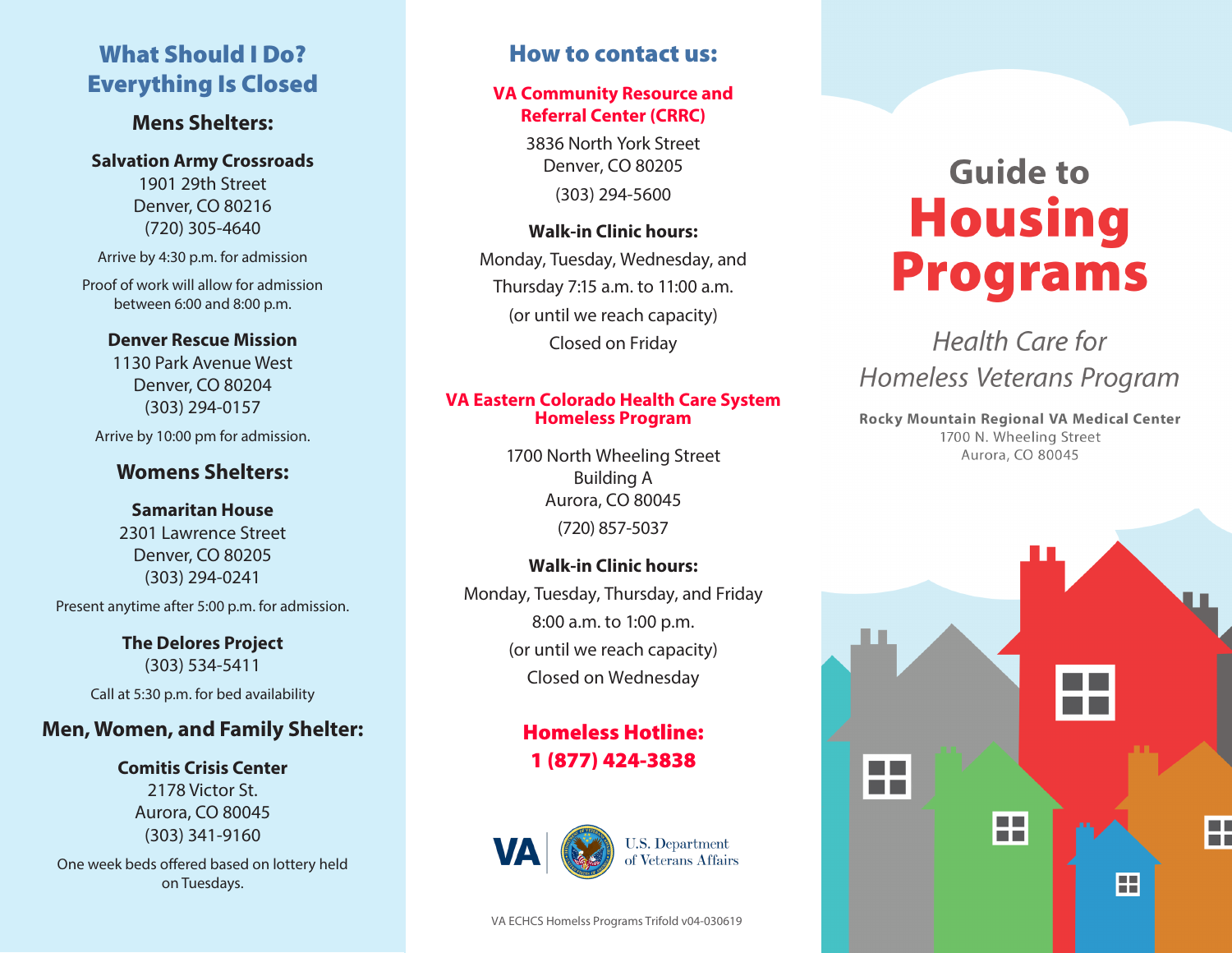# What Should I Do? Everything Is Closed

### **Mens Shelters:**

### **Salvation Army Crossroads**

1901 29th Street Denver, CO 80216 (720) 305-4640

Arrive by 4:30 p.m. for admission

Proof of work will allow for admission between 6:00 and 8:00 p.m.

### **Denver Rescue Mission**

1130 Park Avenue West Denver, CO 80204 (303) 294-0157

Arrive by 10:00 pm for admission.

### **Womens Shelters:**

### **Samaritan House**  2301 Lawrence Street

Denver, CO 80205 (303) 294-0241

Present anytime after 5:00 p.m. for admission.

**The Delores Project**  (303) 534-5411

Call at 5:30 p.m. for bed availability

### **Men, Women, and Family Shelter:**

### **Comitis Crisis Center** 2178 Victor St. Aurora, CO 80045 (303) 341-9160

One week beds offered based on lottery held on Tuesdays.

# How to contact us:

### **VA Community Resource and Referral Center (CRRC)**

3836 North York Street Denver, CO 80205 (303) 294-5600

**Walk-in Clinic hours:**  Monday, Tuesday, Wednesday, and Thursday 7:15 a.m. to 11:00 a.m. (or until we reach capacity) Closed on Friday

### **VA Eastern Colorado Health Care System Homeless Program**

1700 North Wheeling Street Building A Aurora, CO 80045 (720) 857-5037

# **Walk-in Clinic hours:**  Monday, Tuesday, Thursday, and Friday 8:00 a.m. to 1:00 p.m. (or until we reach capacity) Closed on Wednesday

# Homeless Hotline: 1 (877) 424-3838



#### VA ECHCS Homelss Programs Trifold v04-030619

# **Guide to Housing Programs**

# Health Care for Homeless Veterans Program

**Rocky Mountain Regional VA Medical Center** 1700 N. Wheeling Street Aurora, CO 80045